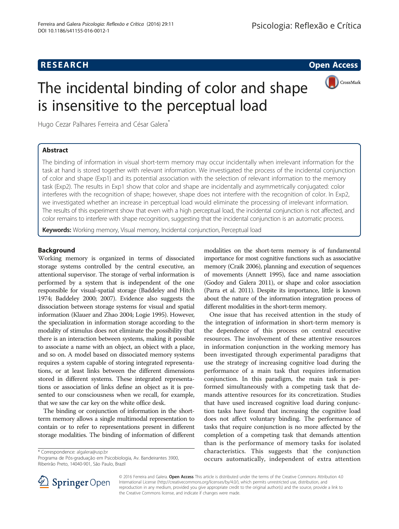# **RESEARCH CHILD CONTROL** CONTROL CONTROL CONTROL CONTROL CONTROL CONTROL CONTROL CONTROL CONTROL CONTROL CONTROL CONTROL CONTROL CONTROL CONTROL CONTROL CONTROL CONTROL CONTROL CONTROL CONTROL CONTROL CONTROL CONTROL CONTR



CrossMark

# Hugo Cezar Palhares Ferreira and César Galera<sup>\*</sup>

## Abstract

The binding of information in visual short-term memory may occur incidentally when irrelevant information for the task at hand is stored together with relevant information. We investigated the process of the incidental conjunction of color and shape (Exp1) and its potential association with the selection of relevant information to the memory task (Exp2). The results in Exp1 show that color and shape are incidentally and asymmetrically conjugated: color interferes with the recognition of shape; however, shape does not interfere with the recognition of color. In Exp2, we investigated whether an increase in perceptual load would eliminate the processing of irrelevant information. The results of this experiment show that even with a high perceptual load, the incidental conjunction is not affected, and color remains to interfere with shape recognition, suggesting that the incidental conjunction is an automatic process.

Keywords: Working memory, Visual memory, Incidental conjunction, Perceptual load

### Background

Working memory is organized in terms of dissociated storage systems controlled by the central executive, an attentional supervisor. The storage of verbal information is performed by a system that is independent of the one responsible for visual-spatial storage (Baddeley and Hitch [1974;](#page-6-0) Baddeley [2000; 2007\)](#page-6-0). Evidence also suggests the dissociation between storage systems for visual and spatial information (Klauer and Zhao [2004;](#page-7-0) Logie [1995\)](#page-7-0). However, the specialization in information storage according to the modality of stimulus does not eliminate the possibility that there is an interaction between systems, making it possible to associate a name with an object, an object with a place, and so on. A model based on dissociated memory systems requires a system capable of storing integrated representations, or at least links between the different dimensions stored in different systems. These integrated representations or association of links define an object as it is presented to our consciousness when we recall, for example, that we saw the car key on the white office desk.

The binding or conjunction of information in the shortterm memory allows a single multimodal representation to contain or to refer to representations present in different storage modalities. The binding of information of different

\* Correspondence: [algalera@usp.br](mailto:algalera@usp.br)

Programa de Pós-graduação em Psicobiologia, Av. Bandeirantes 3900, Riberirão Preto, 14040-901, São Paulo, Brazil

modalities on the short-term memory is of fundamental importance for most cognitive functions such as associative memory (Craik [2006](#page-6-0)), planning and execution of sequences of movements (Annett [1995\)](#page-6-0), face and name association (Godoy and Galera [2011](#page-6-0)), or shape and color association (Parra et al. [2011\)](#page-7-0). Despite its importance, little is known about the nature of the information integration process of different modalities in the short-term memory.

One issue that has received attention in the study of the integration of information in short-term memory is the dependence of this process on central executive resources. The involvement of these attentive resources in information conjunction in the working memory has been investigated through experimental paradigms that use the strategy of increasing cognitive load during the performance of a main task that requires information conjunction. In this paradigm, the main task is performed simultaneously with a competing task that demands attentive resources for its concretization. Studies that have used increased cognitive load during conjunction tasks have found that increasing the cognitive load does not affect voluntary binding. The performance of tasks that require conjunction is no more affected by the completion of a competing task that demands attention than is the performance of memory tasks for isolated characteristics. This suggests that the conjunction occurs automatically, independent of extra attention



© 2016 Ferreira and Galera. Open Access This article is distributed under the terms of the Creative Commons Attribution 4.0 International License ([http://creativecommons.org/licenses/by/4.0/\)](http://creativecommons.org/licenses/by/4.0/), which permits unrestricted use, distribution, and reproduction in any medium, provided you give appropriate credit to the original author(s) and the source, provide a link to the Creative Commons license, and indicate if changes were made.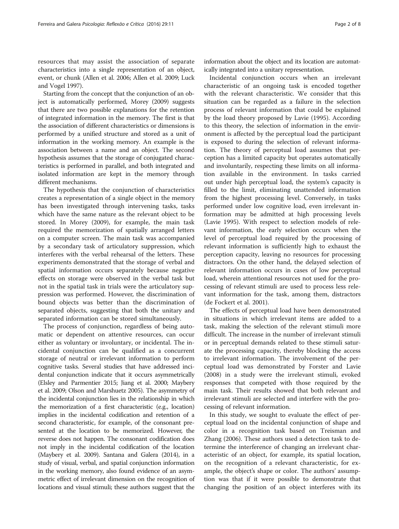resources that may assist the association of separate characteristics into a single representation of an object, event, or chunk (Allen et al. [2006](#page-6-0); Allen et al. [2009](#page-6-0); Luck and Vogel [1997](#page-7-0)).

Starting from the concept that the conjunction of an object is automatically performed, Morey ([2009](#page-7-0)) suggests that there are two possible explanations for the retention of integrated information in the memory. The first is that the association of different characteristics or dimensions is performed by a unified structure and stored as a unit of information in the working memory. An example is the association between a name and an object. The second hypothesis assumes that the storage of conjugated characteristics is performed in parallel, and both integrated and isolated information are kept in the memory through different mechanisms.

The hypothesis that the conjunction of characteristics creates a representation of a single object in the memory has been investigated through intervening tasks, tasks which have the same nature as the relevant object to be stored. In Morey ([2009](#page-7-0)), for example, the main task required the memorization of spatially arranged letters on a computer screen. The main task was accompanied by a secondary task of articulatory suppression, which interferes with the verbal rehearsal of the letters. These experiments demonstrated that the storage of verbal and spatial information occurs separately because negative effects on storage were observed in the verbal task but not in the spatial task in trials were the articulatory suppression was performed. However, the discrimination of bound objects was better than the discrimination of separated objects, suggesting that both the unitary and separated information can be stored simultaneously.

The process of conjunction, regardless of being automatic or dependent on attentive resources, can occur either as voluntary or involuntary, or incidental. The incidental conjunction can be qualified as a concurrent storage of neutral or irrelevant information to perform cognitive tasks. Several studies that have addressed incidental conjunction indicate that it occurs asymmetrically (Elsley and Parmentier [2015;](#page-6-0) Jiang et al. [2000](#page-6-0); Maybery et al. [2009](#page-7-0); Olson and Marshuetz [2005](#page-7-0)). The asymmetry of the incidental conjunction lies in the relationship in which the memorization of a first characteristic (e.g., location) implies in the incidental codification and retention of a second characteristic, for example, of the consonant presented at the location to be memorized. However, the reverse does not happen. The consonant codification does not imply in the incidental codification of the location (Maybery et al. [2009](#page-7-0)). Santana and Galera [\(2014](#page-7-0)), in a study of visual, verbal, and spatial conjunction information in the working memory, also found evidence of an asymmetric effect of irrelevant dimension on the recognition of locations and visual stimuli; these authors suggest that the

information about the object and its location are automatically integrated into a unitary representation.

Incidental conjunction occurs when an irrelevant characteristic of an ongoing task is encoded together with the relevant characteristic. We consider that this situation can be regarded as a failure in the selection process of relevant information that could be explained by the load theory proposed by Lavie ([1995](#page-7-0)). According to this theory, the selection of information in the environment is affected by the perceptual load the participant is exposed to during the selection of relevant information. The theory of perceptual load assumes that perception has a limited capacity but operates automatically and involuntarily, respecting these limits on all information available in the environment. In tasks carried out under high perceptual load, the system's capacity is filled to the limit, eliminating unattended information from the highest processing level. Conversely, in tasks performed under low cognitive load, even irrelevant information may be admitted at high processing levels (Lavie [1995](#page-7-0)). With respect to selection models of relevant information, the early selection occurs when the level of perceptual load required by the processing of relevant information is sufficiently high to exhaust the perception capacity, leaving no resources for processing distractors. On the other hand, the delayed selection of relevant information occurs in cases of low perceptual load, wherein attentional resources not used for the processing of relevant stimuli are used to process less relevant information for the task, among them, distractors (de Fockert et al. [2001](#page-6-0)).

The effects of perceptual load have been demonstrated in situations in which irrelevant items are added to a task, making the selection of the relevant stimuli more difficult. The increase in the number of irrelevant stimuli or in perceptual demands related to these stimuli saturate the processing capacity, thereby blocking the access to irrelevant information. The involvement of the perceptual load was demonstrated by Forster and Lavie ([2008\)](#page-6-0) in a study were the irrelevant stimuli, evoked responses that competed with those required by the main task. Their results showed that both relevant and irrelevant stimuli are selected and interfere with the processing of relevant information.

In this study, we sought to evaluate the effect of perceptual load on the incidental conjunction of shape and color in a recognition task based on Treisman and Zhang ([2006](#page-7-0)). These authors used a detection task to determine the interference of changing an irrelevant characteristic of an object, for example, its spatial location, on the recognition of a relevant characteristic, for example, the object's shape or color. The authors' assumption was that if it were possible to demonstrate that changing the position of an object interferes with its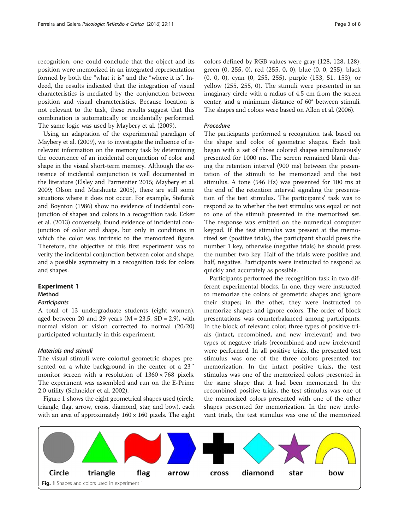recognition, one could conclude that the object and its position were memorized in an integrated representation formed by both the "what it is" and the "where it is". Indeed, the results indicated that the integration of visual characteristics is mediated by the conjunction between position and visual characteristics. Because location is not relevant to the task, these results suggest that this combination is automatically or incidentally performed. The same logic was used by Maybery et al. [\(2009\)](#page-7-0).

Using an adaptation of the experimental paradigm of Maybery et al. [\(2009](#page-7-0)), we to investigate the influence of irrelevant information on the memory task by determining the occurrence of an incidental conjunction of color and shape in the visual short-term memory. Although the existence of incidental conjunction is well documented in the literature (Elsley and Parmentier [2015](#page-6-0); Maybery et al. [2009;](#page-7-0) Olson and Marshuetz [2005](#page-7-0)), there are still some situations where it does not occur. For example, Stefurak and Boynton ([1986\)](#page-7-0) show no evidence of incidental conjunction of shapes and colors in a recognition task. Ecker et al. [\(2013\)](#page-6-0) conversely, found evidence of incidental conjunction of color and shape, but only in conditions in which the color was intrinsic to the memorized figure. Therefore, the objective of this first experiment was to verify the incidental conjunction between color and shape, and a possible asymmetry in a recognition task for colors and shapes.

## Experiment 1

### Method

### **Participants**

A total of 13 undergraduate students (eight women), aged between 20 and 29 years ( $M = 23.5$ ,  $SD = 2.9$ ), with normal vision or vision corrected to normal (20/20) participated voluntarily in this experiment.

#### Materials and stimuli

The visual stimuli were colorful geometric shapes presented on a white background in the center of a 23″ monitor screen with a resolution of  $1360 \times 768$  pixels. The experiment was assembled and run on the E-Prime 2.0 utility (Schneider et al. [2002](#page-7-0)).

Figure 1 shows the eight geometrical shapes used (circle, triangle, flag, arrow, cross, diamond, star, and bow), each with an area of approximately  $160 \times 160$  pixels. The eight

colors defined by RGB values were gray (128, 128, 128); green (0, 255, 0), red (255, 0, 0), blue (0, 0, 255), black (0, 0, 0), cyan (0, 255, 255), purple (153, 51, 153), or yellow (255, 255, 0). The stimuli were presented in an imaginary circle with a radius of 4.5 cm from the screen center, and a minimum distance of 60° between stimuli. The shapes and colors were based on Allen et al. ([2006](#page-6-0)).

### Procedure

The participants performed a recognition task based on the shape and color of geometric shapes. Each task began with a set of three colored shapes simultaneously presented for 1000 ms. The screen remained blank during the retention interval (900 ms) between the presentation of the stimuli to be memorized and the test stimulus. A tone (546 Hz) was presented for 100 ms at the end of the retention interval signaling the presentation of the test stimulus. The participants' task was to respond as to whether the test stimulus was equal or not to one of the stimuli presented in the memorized set. The response was emitted on the numerical computer keypad. If the test stimulus was present at the memorized set (positive trials), the participant should press the number 1 key, otherwise (negative trials) he should press the number two key. Half of the trials were positive and half, negative. Participants were instructed to respond as quickly and accurately as possible.

Participants performed the recognition task in two different experimental blocks. In one, they were instructed to memorize the colors of geometric shapes and ignore their shapes; in the other, they were instructed to memorize shapes and ignore colors. The order of block presentations was counterbalanced among participants. In the block of relevant color, three types of positive trials (intact, recombined, and new irrelevant) and two types of negative trials (recombined and new irrelevant) were performed. In all positive trials, the presented test stimulus was one of the three colors presented for memorization. In the intact positive trials, the test stimulus was one of the memorized colors presented in the same shape that it had been memorized. In the recombined positive trials, the test stimulus was one of the memorized colors presented with one of the other shapes presented for memorization. In the new irrelevant trials, the test stimulus was one of the memorized

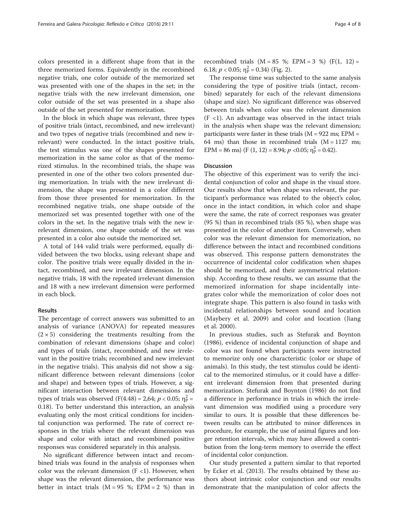colors presented in a different shape from that in the three memorized forms. Equivalently in the recombined negative trials, one color outside of the memorized set was presented with one of the shapes in the set; in the negative trials with the new irrelevant dimension, one color outside of the set was presented in a shape also outside of the set presented for memorization.

In the block in which shape was relevant, three types of positive trials (intact, recombined, and new irrelevant) and two types of negative trials (recombined and new irrelevant) were conducted. In the intact positive trials, the test stimulus was one of the shapes presented for memorization in the same color as that of the memorized stimulus. In the recombined trials, the shape was presented in one of the other two colors presented during memorization. In trials with the new irrelevant dimension, the shape was presented in a color different from those three presented for memorization. In the recombined negative trials, one shape outside of the memorized set was presented together with one of the colors in the set. In the negative trials with the new irrelevant dimension, one shape outside of the set was presented in a color also outside the memorized set.

A total of 144 valid trials were performed, equally divided between the two blocks, using relevant shape and color. The positive trials were equally divided in the intact, recombined, and new irrelevant dimension. In the negative trials, 18 with the repeated irrelevant dimension and 18 with a new irrelevant dimension were performed in each block.

### Results

The percentage of correct answers was submitted to an analysis of variance (ANOVA) for repeated measures  $(2 \times 5)$  considering the treatments resulting from the combination of relevant dimensions (shape and color) and types of trials (intact, recombined, and new irrelevant in the positive trials; recombined and new irrelevant in the negative trials). This analysis did not show a significant difference between relevant dimensions (color and shape) and between types of trials. However, a significant interaction between relevant dimensions and types of trials was observed (F(4.48) = 2,64;  $p < 0.05$ ;  $\eta_P^2$  = 0.18). To better understand this interaction, an analysis evaluating only the most critical conditions for incidental conjunction was performed. The rate of correct responses in the trials where the relevant dimension was shape and color with intact and recombined positive responses was considered separately in this analysis.

No significant difference between intact and recombined trials was found in the analysis of responses when color was the relevant dimension  $(F \lt 1)$ . However, when shape was the relevant dimension, the performance was better in intact trials  $(M = 95 \%)$ : EPM = 2 %) than in recombined trials  $(M = 85 %; EPM = 3 %) (F(1, 12) =$ 6.18;  $p < 0.05$ ;  $\eta_P^2 = 0.34$ ) (Fig. [2](#page-4-0)).

The response time was subjected to the same analysis considering the type of positive trials (intact, recombined) separately for each of the relevant dimensions (shape and size). No significant difference was observed between trials when color was the relevant dimension  $(F \n< 1)$ . An advantage was observed in the intact trials in the analysis when shape was the relevant dimension; participants were faster in these trials  $(M = 922 \text{ ms}; EPM =$ 64 ms) than those in recombined trials  $(M = 1127$  ms; EPM = 86 ms) (F (1, 12) = 8.94;  $p < 0.05$ ;  $\eta_P^2 = 0.42$ ).

### Discussion

The objective of this experiment was to verify the incidental conjunction of color and shape in the visual store. Our results show that when shape was relevant, the participant's performance was related to the object's color, once in the intact condition, in which color and shape were the same, the rate of correct responses was greater (95 %) than in recombined trials (85 %), when shape was presented in the color of another item. Conversely, when color was the relevant dimension for memorization, no difference between the intact and recombined conditions was observed. This response pattern demonstrates the occurrence of incidental color codification when shapes should be memorized, and their asymmetrical relationship. According to these results, we can assume that the memorized information for shape incidentally integrates color while the memorization of color does not integrate shape. This pattern is also found in tasks with incidental relationships between sound and location (Maybery et al. [2009\)](#page-7-0) and color and location (Jiang et al. [2000\)](#page-6-0).

In previous studies, such as Stefurak and Boynton ([1986\)](#page-7-0), evidence of incidental conjunction of shape and color was not found when participants were instructed to memorize only one characteristic (color or shape of animals). In this study, the test stimulus could be identical to the memorized stimulus, or it could have a different irrelevant dimension from that presented during memorization. Stefurak and Boynton ([1986](#page-7-0)) do not find a difference in performance in trials in which the irrelevant dimension was modified using a procedure very similar to ours. It is possible that these differences between results can be attributed to minor differences in procedure, for example, the use of animal figures and longer retention intervals, which may have allowed a contribution from the long-term memory to override the effect of incidental color conjunction.

Our study presented a pattern similar to that reported by Ecker et al. ([2013](#page-6-0)). The results obtained by these authors about intrinsic color conjunction and our results demonstrate that the manipulation of color affects the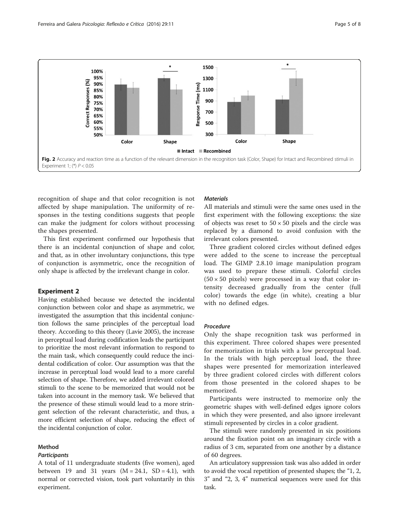<span id="page-4-0"></span>

recognition of shape and that color recognition is not affected by shape manipulation. The uniformity of responses in the testing conditions suggests that people can make the judgment for colors without processing the shapes presented.

This first experiment confirmed our hypothesis that there is an incidental conjunction of shape and color, and that, as in other involuntary conjunctions, this type of conjunction is asymmetric, once the recognition of only shape is affected by the irrelevant change in color.

### Experiment 2

Having established because we detected the incidental conjunction between color and shape as asymmetric, we investigated the assumption that this incidental conjunction follows the same principles of the perceptual load theory. According to this theory (Lavie [2005\)](#page-7-0), the increase in perceptual load during codification leads the participant to prioritize the most relevant information to respond to the main task, which consequently could reduce the incidental codification of color. Our assumption was that the increase in perceptual load would lead to a more careful selection of shape. Therefore, we added irrelevant colored stimuli to the scene to be memorized that would not be taken into account in the memory task. We believed that the presence of these stimuli would lead to a more stringent selection of the relevant characteristic, and thus, a more efficient selection of shape, reducing the effect of the incidental conjunction of color.

### Method

### **Participants**

A total of 11 undergraduate students (five women), aged between 19 and 31 years  $(M = 24.1, SD = 4.1)$ , with normal or corrected vision, took part voluntarily in this experiment.

### **Materials**

All materials and stimuli were the same ones used in the first experiment with the following exceptions: the size of objects was reset to  $50 \times 50$  pixels and the circle was replaced by a diamond to avoid confusion with the irrelevant colors presented.

Three gradient colored circles without defined edges were added to the scene to increase the perceptual load. The GIMP 2.8.10 image manipulation program was used to prepare these stimuli. Colorful circles  $(50 \times 50 \text{ pixels})$  were processed in a way that color intensity decreased gradually from the center (full color) towards the edge (in white), creating a blur with no defined edges.

#### Procedure

Only the shape recognition task was performed in this experiment. Three colored shapes were presented for memorization in trials with a low perceptual load. In the trials with high perceptual load, the three shapes were presented for memorization interleaved by three gradient colored circles with different colors from those presented in the colored shapes to be memorized.

Participants were instructed to memorize only the geometric shapes with well-defined edges ignore colors in which they were presented, and also ignore irrelevant stimuli represented by circles in a color gradient.

The stimuli were randomly presented in six positions around the fixation point on an imaginary circle with a radius of 3 cm, separated from one another by a distance of 60 degrees.

An articulatory suppression task was also added in order to avoid the vocal repetition of presented shapes; the "1, 2, 3" and "2, 3, 4" numerical sequences were used for this task.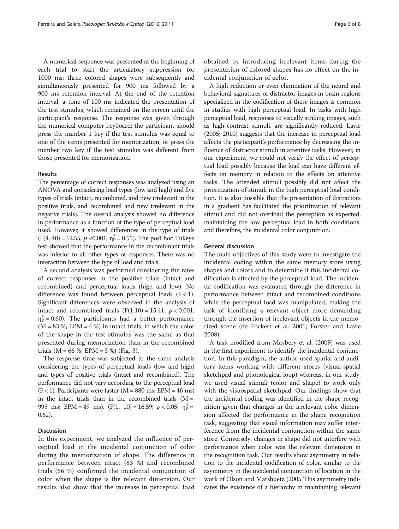A numerical sequence was presented at the beginning of each trial to start the articulatory suppression for 1000 ms; three colored shapes were subsequently and simultaneously presented for 900 ms followed by a 900 ms retention interval. At the end of the retention interval, a tone of 100 ms indicated the presentation of the test stimulus, which remained on the screen until the participant's response. The response was given through the numerical computer keyboard; the participant should press the number 1 key if the test stimulus was equal to one of the items presented for memorization, or press the number two key if the test stimulus was different from those presented for memorization.

#### Results

The percentage of correct responses was analyzed using an ANOVA and considering load types (low and high) and five types of trials (intact, recombined, and new irrelevant in the positive trials, and recombined and new irrelevant in the negative trials). The overall analysis showed no difference in performance as a function of the type of perceptual load used. However, it showed differences in the type of trials  $(F(4, 40) = 12.55; p < 0.001; \eta_P^2 = 0.55)$ . The post hoc Tukey's test showed that the performance in the recombinant trials was inferior to all other types of responses. There was no interaction between the type of load and trials.

A second analysis was performed considering the rates of correct responses in the positive trials (intact and recombined) and perceptual loads (high and low). No difference was found between perceptual loads  $(F < 1)$ . Significant differences were observed in the analysis of intact and recombined trials  $(F(1,10) = 15.41; p < 0.001;$  $\eta_P^2$  = 0.60). The participants had a better performance  $(M = 83 \text{ %}; EPM = 4 \text{ %})$  in intact trials, in which the color of the shape in the test stimulus was the same as that presented during memorization than in the recombined trials  $(M = 66 \text{ %}; EPM = 3 \text{ %})$  $(M = 66 \text{ %}; EPM = 3 \text{ %})$  $(M = 66 \text{ %}; EPM = 3 \text{ %})$  (Fig. 3).

The response time was subjected to the same analysis considering the types of perceptual loads (low and high) and types of positive trials (intact and recombined). The performance did not vary according to the perceptual load  $(F < 1)$ . Participants were faster  $(M = 880 \text{ ms}; EPM = 46 \text{ ms})$ in the intact trials than in the recombined trials  $(M =$ 995 ms; EPM = 49 ms). (F(1, 10) = 16.59;  $p < 0.05$ ;  $\eta_P^2$  = 0.62).

### Discussion

In this experiment, we analyzed the influence of perceptual load in the incidental conjunction of color during the memorization of shape. The difference in performance between intact (83 %) and recombined trials (66 %) confirmed the incidental conjunction of color when the shape is the relevant dimension. Our results also show that the increase in perceptual load

obtained by introducing irrelevant items during the presentation of colored shapes has no effect on the incidental conjunction of color.

A high reduction or even elimination of the neural and behavioral signatures of distractor images in brain regions specialized in the codification of these images is common in studies with high perceptual load. In tasks with high perceptual load, responses to visually striking images, such as high-contrast stimuli, are significantly reduced. Lavie ([2005](#page-7-0); [2010\)](#page-7-0) suggests that the increase in perceptual load affects the participant's performance by decreasing the influence of distractor stimuli in attentive tasks. However, in our experiment, we could not verify the effect of perceptual load possibly because the load can have different effects on memory in relation to the effects on attentive tasks. The attended stimuli possibly did not affect the prioritization of stimuli in the high perceptual load condition. It is also possible that the presentation of distractors in a gradient has facilitated the prioritization of relevant stimuli and did not overload the perception as expected, maintaining the low perceptual load in both conditions, and therefore, the incidental color conjunction.

### General discussion

The main objectives of this study were to investigate the incidental coding within the same memory store using shapes and colors and to determine if this incidental codification is affected by the perceptual load. The incidental codification was evaluated through the difference in performance between intact and recombined conditions while the perceptual load was manipulated, making the task of identifying a relevant object more demanding through the insertion of irrelevant objects in the memorized scene (de Fockert et al. [2001](#page-6-0); Forster and Lavie [2008](#page-6-0)).

A task modified from Maybery et al. [\(2009\)](#page-7-0) was used in the first experiment to identify the incidental conjunction. In this paradigm, the author used spatial and auditory items working with different stores (visual-spatial sketchpad and phonological loop) whereas, in our study, we used visual stimuli (color and shape) to work only with the visuospatial sketchpad. Our findings show that the incidental coding was identified in the shape recognition given that changes in the irrelevant color dimension affected the performance in the shape recognition task, suggesting that visual information may suffer interference from the incidental conjunction within the same store. Conversely, changes in shape did not interfere with performance when color was the relevant dimension in the recognition task. Our results show asymmetry in relation to the incidental codification of color, similar to the asymmetry in the incidental conjunction of location in the work of Olson and Marshuetz (2005 This asymmetry indicates the existence of a hierarchy in maintaining relevant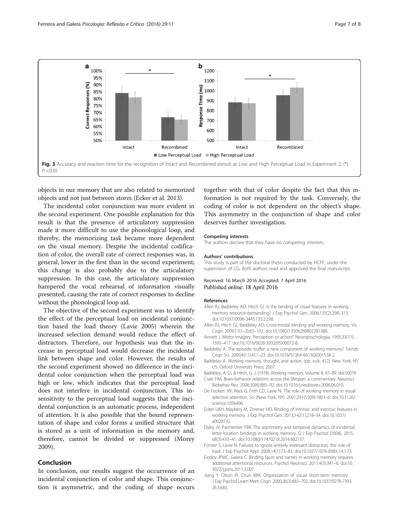<span id="page-6-0"></span>

objects in our memory that are also related to memorized objects and not just between stores (Ecker et al. 2013).

The incidental color conjunction was more evident in the second experiment. One possible explanation for this result is that the presence of articulatory suppression made it more difficult to use the phonological loop, and thereby, the memorizing task became more dependent on the visual memory. Despite the incidental codification of color, the overall rate of correct responses was, in general, lower in the first than in the second experiment; this change is also probably due to the articulatory suppression. In this case, the articulatory suppression hampered the vocal rehearsal of information visually presented, causing the rate of correct responses to decline without the phonological loop aid.

The objective of the second experiment was to identify the effect of the perceptual load on incidental conjunction based the load theory (Lavie [2005\)](#page-7-0) wherein the increased selection demand would reduce the effect of distractors. Therefore, our hypothesis was that the increase in perceptual load would decrease the incidental link between shape and color. However, the results of the second experiment showed no difference in the incidental color conjunction when the perceptual load was high or low, which indicates that the perceptual load does not interfere in incidental conjunction. This insensitivity to the perceptual load suggests that the incidental conjunction is an automatic process, independent of attention. It is also possible that the bound representation of shape and color forms a unified structure that is stored as a unit of information in the memory and, therefore, cannot be divided or suppressed (Morey [2009](#page-7-0)).

### Conclusion

In conclusion, our results suggest the occurrence of an incidental conjunction of color and shape. This conjunction is asymmetric, and the coding of shape occurs

together with that of color despite the fact that this information is not required by the task. Conversely, the coding of color is not dependent on the object's shape. This asymmetry in the conjunction of shape and color deserves further investigation.

#### Competing interests

The authors declare that they have no competing interests.

#### Authors' contributions

This study is part of the doctoral thesis conducted by HCPF, under the supervision of CG. Both authors read and approved the final manuscript.

### Received: 16 March 2016 Accepted: 7 April 2016 Published online: 18 April 2016

#### References

- Allen RJ, Baddeley AD, Hitch GJ. Is the binding of visual features in working memory resource-demanding? J Exp Psychol Gen. 2006;135(2):298–313. doi[:10.1037/0096-3445.135.2.298.](http://dx.doi.org/10.1037/0096-3445.135.2.298)
- Allen RJ, Hitch GJ, Baddeley AD. Cross-modal binding and working memory. Vis Cogn. 2009;17(1–2):83–102. doi:[10.1080/13506280802281386.](http://dx.doi.org/10.1080/13506280802281386)
- Annett J. Motor imagery: Perception or action? Neuropsychologia. 1995;33(11): 1395–417. doi:[10.1016/0028-3932\(95\)00072-B.](http://dx.doi.org/10.1016/0028-3932(95)00072-B)
- Baddeley A. The episodic buffer: a new component of working memory? Trends Cogn Sci. 2000;4(11):417–23. doi:[10.1016/S1364-6613\(00\)01538-2.](http://dx.doi.org/10.1016/S1364-6613(00)01538-2)
- Baddeley A. Working memory, thought, and action. (pp. xviii, 412). New York, NY, US: Oxford University Press; 2007.
- Baddeley, A. D., & Hitch, G. J. (1974). Working memory, Volume 8, 47–89. doi:S0079 Craik FIM. Brain-behavior relations across the lifespan: a commentary. Neurosci
- Biobehav Rev. 2006;30(6):885–92. doi:[10.1016/j.neubiorev.2006.06.010.](http://dx.doi.org/10.1016/j.neubiorev.2006.06.010) De Fockert JW, Rees G, Frith CD, Lavie N. The role of working memory in visual selective attention. Sci (New York, NY). 2001;291(5509):1803–6. doi[:10.1126/](http://dx.doi.org/10.1126/science.1056496) [science.1056496.](http://dx.doi.org/10.1126/science.1056496)
- Ecker UKH, Maybery M, Zimmer HD. Binding of intrinsic and extrinsic features in working memory. J Exp Psychol Gen. 2013;142(1):218–34. doi[:10.1037/](http://dx.doi.org/10.1037/a0028732) [a0028732.](http://dx.doi.org/10.1037/a0028732)
- Elsley JV, Parmentier FBR. The asymmetry and temporal dynamics of incidental letter-location bindings in working memory. Q J Exp Psychol (2006). 2015; 68(3):433–41. doi[:10.1080/17470218.2014.982137](http://dx.doi.org/10.1080/17470218.2014.982137).
- Forster S, Lavie N. Failures to ignore entirely irrelevant distractors: the role of load. J Exp Psychol Appl. 2008;14(1):73–83. doi[:10.1037/1076-898X.14.1.73.](http://dx.doi.org/10.1037/1076-898X.14.1.73)
- Godoy JPMC, Galera C. Binding faces and names in working memory requires additional attentional resources. Psychol Neurosci. 2011;4(3):341–6. doi:[10.](http://dx.doi.org/10.3922/j.psns.2011.3.007) [3922/j.psns.2011.3.007](http://dx.doi.org/10.3922/j.psns.2011.3.007).
- Jiang Y, Olson IR, Chun MM. Organization of visual short-term memory. J Exp Psychol Learn Mem Cogn. 2000;26(3):683–702. doi[:10.1037/0278-7393.](http://dx.doi.org/10.1037/0278-7393.26.3.683) [26.3.683.](http://dx.doi.org/10.1037/0278-7393.26.3.683)